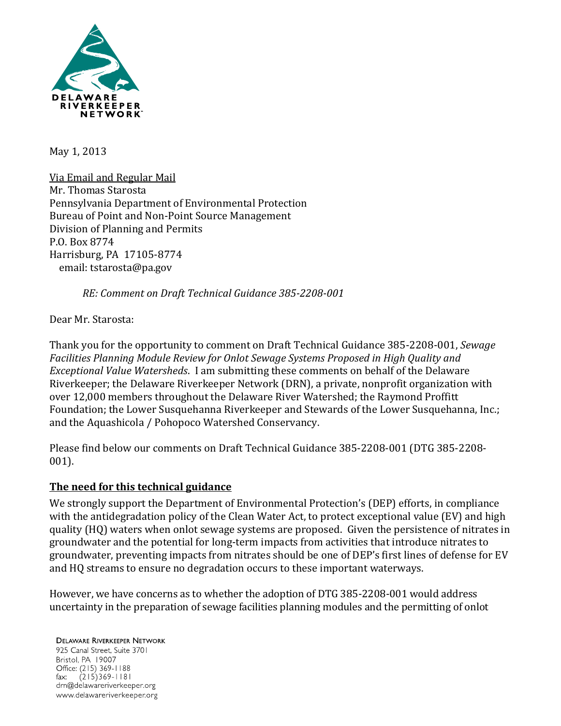

May 1, 2013

Via Email and Regular Mail Mr. Thomas Starosta Pennsylvania Department of Environmental Protection Bureau of Point and Non-Point Source Management Division of Planning and Permits P.O. Box 8774 Harrisburg, PA 17105-8774 email: tstarosta@pa.gov

*RE: Comment on Draft Technical Guidance 385-2208-001*

Dear Mr. Starosta:

Thank you for the opportunity to comment on Draft Technical Guidance 385-2208-001, *Sewage Facilities Planning Module Review for Onlot Sewage Systems Proposed in High Quality and Exceptional Value Watersheds*. I am submitting these comments on behalf of the Delaware Riverkeeper; the Delaware Riverkeeper Network (DRN), a private, nonprofit organization with over 12,000 members throughout the Delaware River Watershed; the Raymond Proffitt Foundation; the Lower Susquehanna Riverkeeper and Stewards of the Lower Susquehanna, Inc.; and the Aquashicola / Pohopoco Watershed Conservancy.

Please find below our comments on Draft Technical Guidance 385-2208-001 (DTG 385-2208- 001).

#### **The need for this technical guidance**

We strongly support the Department of Environmental Protection's (DEP) efforts, in compliance with the antidegradation policy of the Clean Water Act, to protect exceptional value (EV) and high quality (HQ) waters when onlot sewage systems are proposed. Given the persistence of nitrates in groundwater and the potential for long-term impacts from activities that introduce nitrates to groundwater, preventing impacts from nitrates should be one of DEP's first lines of defense for EV and HQ streams to ensure no degradation occurs to these important waterways.

However, we have concerns as to whether the adoption of DTG 385-2208-001 would address uncertainty in the preparation of sewage facilities planning modules and the permitting of onlot

**DELAWARE RIVERKEEPER NETWORK** 925 Canal Street, Suite 3701 Bristol, PA 19007 Office: (215) 369-1188 fax:  $(215)369 - 1181$ drn@delawareriverkeeper.org www.delawareriverkeeper.org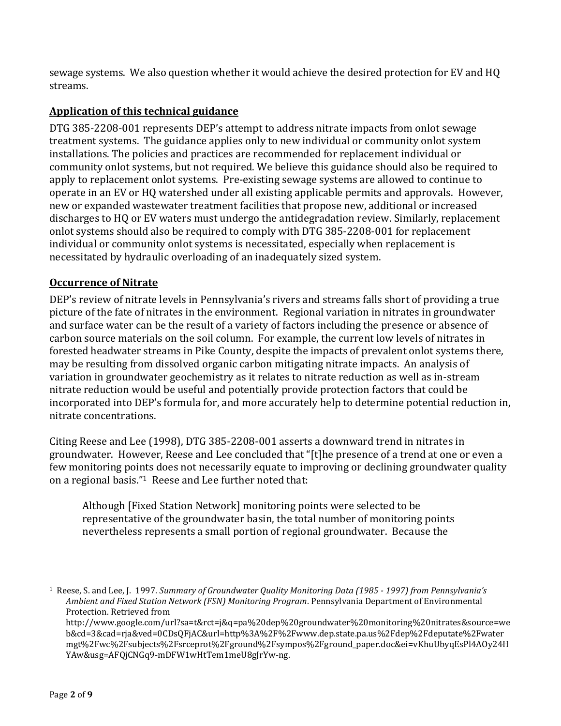sewage systems. We also question whether it would achieve the desired protection for EV and HQ streams.

# **Application of this technical guidance**

DTG 385-2208-001 represents DEP's attempt to address nitrate impacts from onlot sewage treatment systems. The guidance applies only to new individual or community onlot system installations. The policies and practices are recommended for replacement individual or community onlot systems, but not required. We believe this guidance should also be required to apply to replacement onlot systems. Pre-existing sewage systems are allowed to continue to operate in an EV or HQ watershed under all existing applicable permits and approvals. However, new or expanded wastewater treatment facilities that propose new, additional or increased discharges to HQ or EV waters must undergo the antidegradation review. Similarly, replacement onlot systems should also be required to comply with DTG 385-2208-001 for replacement individual or community onlot systems is necessitated, especially when replacement is necessitated by hydraulic overloading of an inadequately sized system.

### **Occurrence of Nitrate**

DEP's review of nitrate levels in Pennsylvania's rivers and streams falls short of providing a true picture of the fate of nitrates in the environment. Regional variation in nitrates in groundwater and surface water can be the result of a variety of factors including the presence or absence of carbon source materials on the soil column. For example, the current low levels of nitrates in forested headwater streams in Pike County, despite the impacts of prevalent onlot systems there, may be resulting from dissolved organic carbon mitigating nitrate impacts. An analysis of variation in groundwater geochemistry as it relates to nitrate reduction as well as in-stream nitrate reduction would be useful and potentially provide protection factors that could be incorporated into DEP's formula for, and more accurately help to determine potential reduction in, nitrate concentrations.

Citing Reese and Lee (1998), DTG 385-2208-001 asserts a downward trend in nitrates in groundwater. However, Reese and Lee concluded that "[t]he presence of a trend at one or even a few monitoring points does not necessarily equate to improving or declining groundwater quality on a regional basis."<sup>1</sup> Reese and Lee further noted that:

Although [Fixed Station Network] monitoring points were selected to be representative of the groundwater basin, the total number of monitoring points nevertheless represents a small portion of regional groundwater. Because the

<sup>1</sup> Reese, S. and Lee, J. 1997. *Summary of Groundwater Quality Monitoring Data (1985 - 1997) from Pennsylvania's Ambient and Fixed Station Network (FSN) Monitoring Program*. Pennsylvania Department of Environmental Protection. Retrieved from

http://www.google.com/url?sa=t&rct=j&q=pa%20dep%20groundwater%20monitoring%20nitrates&source=we b&cd=3&cad=rja&ved=0CDsQFjAC&url=http%3A%2F%2Fwww.dep.state.pa.us%2Fdep%2Fdeputate%2Fwater mgt%2Fwc%2Fsubjects%2Fsrceprot%2Fground%2Fsympos%2Fground\_paper.doc&ei=vKhuUbyqEsPl4AOy24H YAw&usg=AFQjCNGq9-mDFW1wHtTem1meU8gJrYw-ng.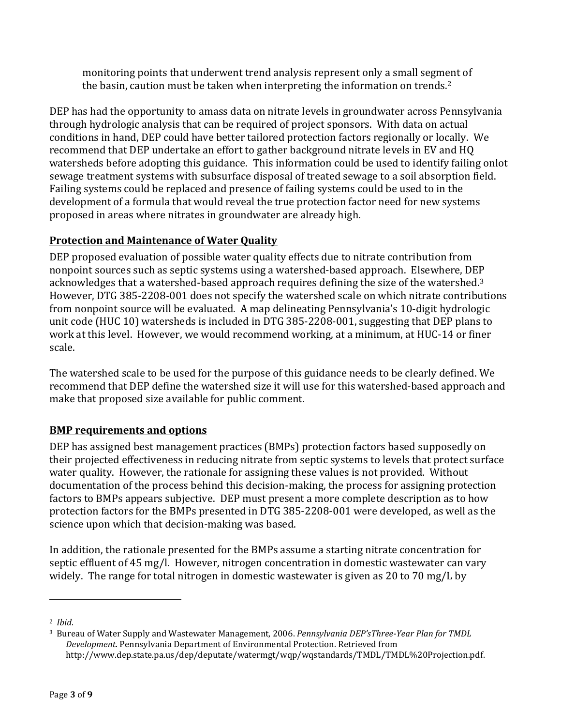monitoring points that underwent trend analysis represent only a small segment of the basin, caution must be taken when interpreting the information on trends.<sup>2</sup>

DEP has had the opportunity to amass data on nitrate levels in groundwater across Pennsylvania through hydrologic analysis that can be required of project sponsors. With data on actual conditions in hand, DEP could have better tailored protection factors regionally or locally. We recommend that DEP undertake an effort to gather background nitrate levels in EV and HQ watersheds before adopting this guidance. This information could be used to identify failing onlot sewage treatment systems with subsurface disposal of treated sewage to a soil absorption field. Failing systems could be replaced and presence of failing systems could be used to in the development of a formula that would reveal the true protection factor need for new systems proposed in areas where nitrates in groundwater are already high.

# **Protection and Maintenance of Water Quality**

DEP proposed evaluation of possible water quality effects due to nitrate contribution from nonpoint sources such as septic systems using a watershed-based approach. Elsewhere, DEP acknowledges that a watershed-based approach requires defining the size of the watershed.<sup>3</sup> However, DTG 385-2208-001 does not specify the watershed scale on which nitrate contributions from nonpoint source will be evaluated. A map delineating Pennsylvania's 10-digit hydrologic unit code (HUC 10) watersheds is included in DTG 385-2208-001, suggesting that DEP plans to work at this level. However, we would recommend working, at a minimum, at HUC-14 or finer scale.

The watershed scale to be used for the purpose of this guidance needs to be clearly defined. We recommend that DEP define the watershed size it will use for this watershed-based approach and make that proposed size available for public comment.

# **BMP requirements and options**

DEP has assigned best management practices (BMPs) protection factors based supposedly on their projected effectiveness in reducing nitrate from septic systems to levels that protect surface water quality. However, the rationale for assigning these values is not provided. Without documentation of the process behind this decision-making, the process for assigning protection factors to BMPs appears subjective. DEP must present a more complete description as to how protection factors for the BMPs presented in DTG 385-2208-001 were developed, as well as the science upon which that decision-making was based.

In addition, the rationale presented for the BMPs assume a starting nitrate concentration for septic effluent of 45 mg/l. However, nitrogen concentration in domestic wastewater can vary widely. The range for total nitrogen in domestic wastewater is given as 20 to 70 mg/L by

<sup>2</sup> *Ibid*.

<sup>3</sup> Bureau of Water Supply and Wastewater Management, 2006. *Pennsylvania DEP'sThree-Year Plan for TMDL Development*. Pennsylvania Department of Environmental Protection. Retrieved from http://www.dep.state.pa.us/dep/deputate/watermgt/wqp/wqstandards/TMDL/TMDL%20Projection.pdf.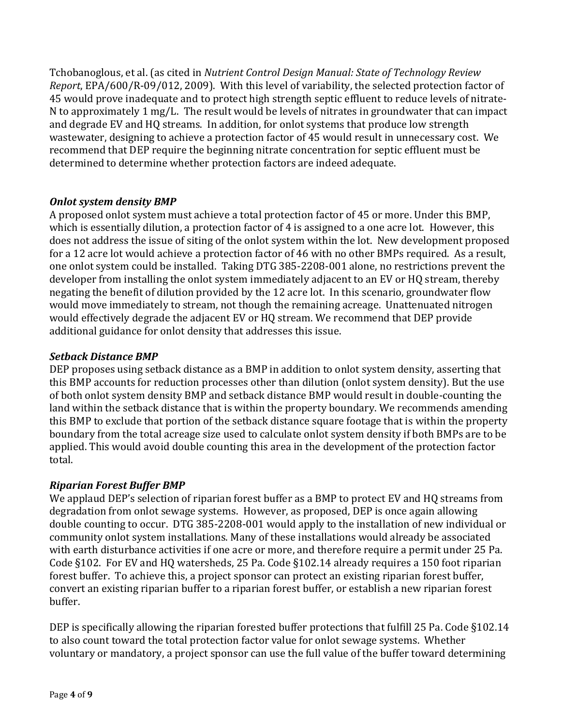Tchobanoglous, et al. (as cited in *Nutrient Control Design Manual: State of Technology Review Report*, EPA/600/R‐09/012, 2009). With this level of variability, the selected protection factor of 45 would prove inadequate and to protect high strength septic effluent to reduce levels of nitrate-N to approximately 1 mg/L. The result would be levels of nitrates in groundwater that can impact and degrade EV and HQ streams. In addition, for onlot systems that produce low strength wastewater, designing to achieve a protection factor of 45 would result in unnecessary cost. We recommend that DEP require the beginning nitrate concentration for septic effluent must be determined to determine whether protection factors are indeed adequate.

### *Onlot system density BMP*

A proposed onlot system must achieve a total protection factor of 45 or more. Under this BMP, which is essentially dilution, a protection factor of 4 is assigned to a one acre lot. However, this does not address the issue of siting of the onlot system within the lot. New development proposed for a 12 acre lot would achieve a protection factor of 46 with no other BMPs required. As a result, one onlot system could be installed. Taking DTG 385-2208-001 alone, no restrictions prevent the developer from installing the onlot system immediately adjacent to an EV or HQ stream, thereby negating the benefit of dilution provided by the 12 acre lot. In this scenario, groundwater flow would move immediately to stream, not though the remaining acreage. Unattenuated nitrogen would effectively degrade the adjacent EV or HQ stream. We recommend that DEP provide additional guidance for onlot density that addresses this issue.

### *Setback Distance BMP*

DEP proposes using setback distance as a BMP in addition to onlot system density, asserting that this BMP accounts for reduction processes other than dilution (onlot system density). But the use of both onlot system density BMP and setback distance BMP would result in double-counting the land within the setback distance that is within the property boundary. We recommends amending this BMP to exclude that portion of the setback distance square footage that is within the property boundary from the total acreage size used to calculate onlot system density if both BMPs are to be applied. This would avoid double counting this area in the development of the protection factor total.

#### *Riparian Forest Buffer BMP*

We applaud DEP's selection of riparian forest buffer as a BMP to protect EV and HQ streams from degradation from onlot sewage systems. However, as proposed, DEP is once again allowing double counting to occur. DTG 385-2208-001 would apply to the installation of new individual or community onlot system installations. Many of these installations would already be associated with earth disturbance activities if one acre or more, and therefore require a permit under 25 Pa. Code §102. For EV and HQ watersheds, 25 Pa. Code §102.14 already requires a 150 foot riparian forest buffer. To achieve this, a project sponsor can protect an existing riparian forest buffer, convert an existing riparian buffer to a riparian forest buffer, or establish a new riparian forest buffer.

DEP is specifically allowing the riparian forested buffer protections that fulfill 25 Pa. Code §102.14 to also count toward the total protection factor value for onlot sewage systems. Whether voluntary or mandatory, a project sponsor can use the full value of the buffer toward determining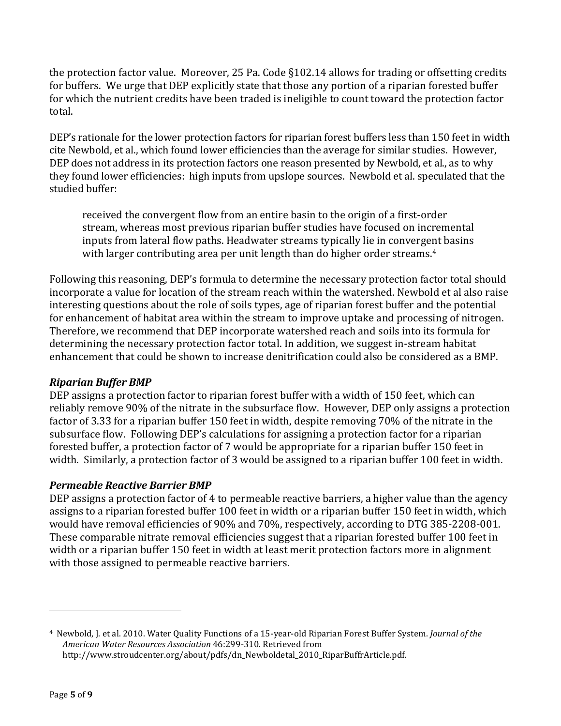the protection factor value. Moreover, 25 Pa. Code §102.14 allows for trading or offsetting credits for buffers. We urge that DEP explicitly state that those any portion of a riparian forested buffer for which the nutrient credits have been traded is ineligible to count toward the protection factor total.

DEP's rationale for the lower protection factors for riparian forest buffers less than 150 feet in width cite Newbold, et al., which found lower efficiencies than the average for similar studies. However, DEP does not address in its protection factors one reason presented by Newbold, et al., as to why they found lower efficiencies: high inputs from upslope sources. Newbold et al. speculated that the studied buffer:

received the convergent flow from an entire basin to the origin of a first-order stream, whereas most previous riparian buffer studies have focused on incremental inputs from lateral flow paths. Headwater streams typically lie in convergent basins with larger contributing area per unit length than do higher order streams.<sup>4</sup>

Following this reasoning, DEP's formula to determine the necessary protection factor total should incorporate a value for location of the stream reach within the watershed. Newbold et al also raise interesting questions about the role of soils types, age of riparian forest buffer and the potential for enhancement of habitat area within the stream to improve uptake and processing of nitrogen. Therefore, we recommend that DEP incorporate watershed reach and soils into its formula for determining the necessary protection factor total. In addition, we suggest in-stream habitat enhancement that could be shown to increase denitrification could also be considered as a BMP.

#### *Riparian Buffer BMP*

DEP assigns a protection factor to riparian forest buffer with a width of 150 feet, which can reliably remove 90% of the nitrate in the subsurface flow. However, DEP only assigns a protection factor of 3.33 for a riparian buffer 150 feet in width, despite removing 70% of the nitrate in the subsurface flow. Following DEP's calculations for assigning a protection factor for a riparian forested buffer, a protection factor of 7 would be appropriate for a riparian buffer 150 feet in width. Similarly, a protection factor of 3 would be assigned to a riparian buffer 100 feet in width.

# *Permeable Reactive Barrier BMP*

DEP assigns a protection factor of 4 to permeable reactive barriers, a higher value than the agency assigns to a riparian forested buffer 100 feet in width or a riparian buffer 150 feet in width, which would have removal efficiencies of 90% and 70%, respectively, according to DTG 385-2208-001. These comparable nitrate removal efficiencies suggest that a riparian forested buffer 100 feet in width or a riparian buffer 150 feet in width at least merit protection factors more in alignment with those assigned to permeable reactive barriers.

<sup>4</sup> Newbold, J. et al. 2010. Water Quality Functions of a 15-year-old Riparian Forest Buffer System. *Journal of the American Water Resources Association* 46:299-310. Retrieved from http://www.stroudcenter.org/about/pdfs/dn\_Newboldetal\_2010\_RiparBuffrArticle.pdf.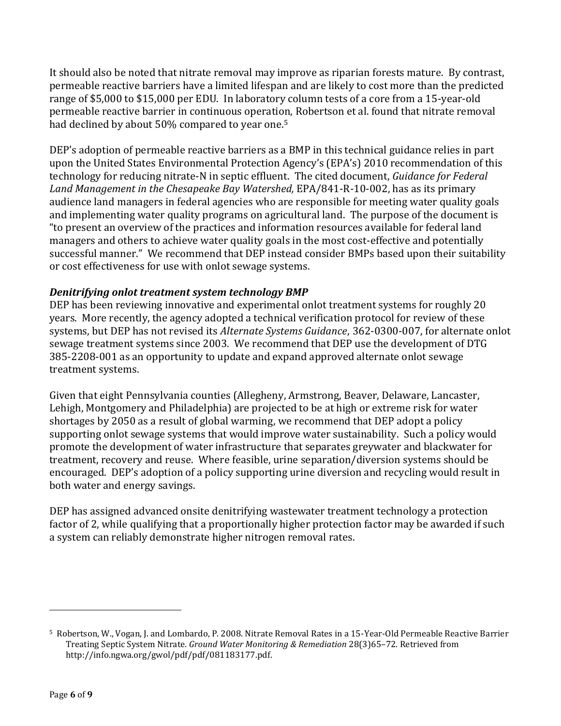It should also be noted that nitrate removal may improve as riparian forests mature. By contrast, permeable reactive barriers have a limited lifespan and are likely to cost more than the predicted range of \$5,000 to \$15,000 per EDU. In laboratory column tests of a core from a 15-year-old permeable reactive barrier in continuous operation, Robertson et al. found that nitrate removal had declined by about 50% compared to year one.<sup>5</sup>

DEP's adoption of permeable reactive barriers as a BMP in this technical guidance relies in part upon the United States Environmental Protection Agency's (EPA's) 2010 recommendation of this technology for reducing nitrate-N in septic effluent. The cited document, *Guidance for Federal Land Management in the Chesapeake Bay Watershed,* EPA/841-R-10-002, has as its primary audience land managers in federal agencies who are responsible for meeting water quality goals and implementing water quality programs on agricultural land. The purpose of the document is "to present an overview of the practices and information resources available for federal land managers and others to achieve water quality goals in the most cost-effective and potentially successful manner." We recommend that DEP instead consider BMPs based upon their suitability or cost effectiveness for use with onlot sewage systems.

### *Denitrifying onlot treatment system technology BMP*

DEP has been reviewing innovative and experimental onlot treatment systems for roughly 20 years. More recently, the agency adopted a technical verification protocol for review of these systems, but DEP has not revised its *Alternate Systems Guidance*, 362-0300-007, for alternate onlot sewage treatment systems since 2003. We recommend that DEP use the development of DTG 385-2208-001 as an opportunity to update and expand approved alternate onlot sewage treatment systems.

Given that eight Pennsylvania counties (Allegheny, Armstrong, Beaver, Delaware, Lancaster, Lehigh, Montgomery and Philadelphia) are projected to be at high or extreme risk for water shortages by 2050 as a result of global warming, we recommend that DEP adopt a policy supporting onlot sewage systems that would improve water sustainability. Such a policy would promote the development of water infrastructure that separates greywater and blackwater for treatment, recovery and reuse. Where feasible, urine separation/diversion systems should be encouraged. DEP's adoption of a policy supporting urine diversion and recycling would result in both water and energy savings.

DEP has assigned advanced onsite denitrifying wastewater treatment technology a protection factor of 2, while qualifying that a proportionally higher protection factor may be awarded if such a system can reliably demonstrate higher nitrogen removal rates.

<sup>5</sup> Robertson, W., Vogan, J. and Lombardo, P. 2008. Nitrate Removal Rates in a 15-Year-Old Permeable Reactive Barrier Treating Septic System Nitrate. *Ground Water Monitoring & Remediation* 28(3)65–72. Retrieved from http://info.ngwa.org/gwol/pdf/pdf/081183177.pdf.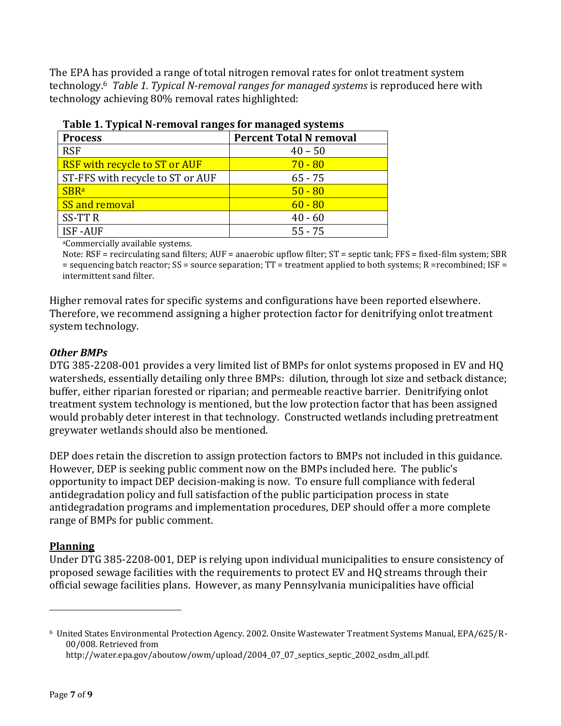The EPA has provided a range of total nitrogen removal rates for onlot treatment system technology.<sup>6</sup> *Table 1. Typical N-removal ranges for managed systems* is reproduced here with technology achieving 80% removal rates highlighted:

| $14010 + 17$ , prometer completed for $14010$ , $10010$ , $10000$ , $1000$ |                                |  |  |  |
|----------------------------------------------------------------------------|--------------------------------|--|--|--|
| <b>Process</b>                                                             | <b>Percent Total N removal</b> |  |  |  |
| <b>RSF</b>                                                                 | $40 - 50$                      |  |  |  |
| <b>RSF</b> with recycle to ST or AUF                                       | $70 - 80$                      |  |  |  |
| ST-FFS with recycle to ST or AUF                                           | $65 - 75$                      |  |  |  |
| <b>SBRa</b>                                                                | $50 - 80$                      |  |  |  |
| SS and removal                                                             | $60 - 80$                      |  |  |  |
| <b>SS-TTR</b>                                                              | $40 - 60$                      |  |  |  |
| <b>ISF-AUF</b>                                                             | $55 - 75$                      |  |  |  |
|                                                                            |                                |  |  |  |

|  |  | Table 1. Typical N-removal ranges for managed systems |  |
|--|--|-------------------------------------------------------|--|
|  |  |                                                       |  |
|  |  |                                                       |  |

<sup>a</sup>Commercially available systems.

Note: RSF = recirculating sand filters; AUF = anaerobic upflow filter; ST = septic tank; FFS = fixed-film system; SBR = sequencing batch reactor; SS = source separation; TT = treatment applied to both systems; R =recombined; ISF = intermittent sand filter.

Higher removal rates for specific systems and configurations have been reported elsewhere. Therefore, we recommend assigning a higher protection factor for denitrifying onlot treatment system technology.

#### *Other BMPs*

DTG 385-2208-001 provides a very limited list of BMPs for onlot systems proposed in EV and HQ watersheds, essentially detailing only three BMPs: dilution, through lot size and setback distance; buffer, either riparian forested or riparian; and permeable reactive barrier. Denitrifying onlot treatment system technology is mentioned, but the low protection factor that has been assigned would probably deter interest in that technology. Constructed wetlands including pretreatment greywater wetlands should also be mentioned.

DEP does retain the discretion to assign protection factors to BMPs not included in this guidance. However, DEP is seeking public comment now on the BMPs included here. The public's opportunity to impact DEP decision-making is now. To ensure full compliance with federal antidegradation policy and full satisfaction of the public participation process in state antidegradation programs and implementation procedures, DEP should offer a more complete range of BMPs for public comment.

# **Planning**

 $\overline{a}$ 

Under DTG 385-2208-001, DEP is relying upon individual municipalities to ensure consistency of proposed sewage facilities with the requirements to protect EV and HQ streams through their official sewage facilities plans. However, as many Pennsylvania municipalities have official

<sup>6</sup> United States Environmental Protection Agency. 2002. Onsite Wastewater Treatment Systems Manual, EPA/625/R-00/008. Retrieved from http://water.epa.gov/aboutow/owm/upload/2004\_07\_07\_septics\_septic\_2002\_osdm\_all.pdf.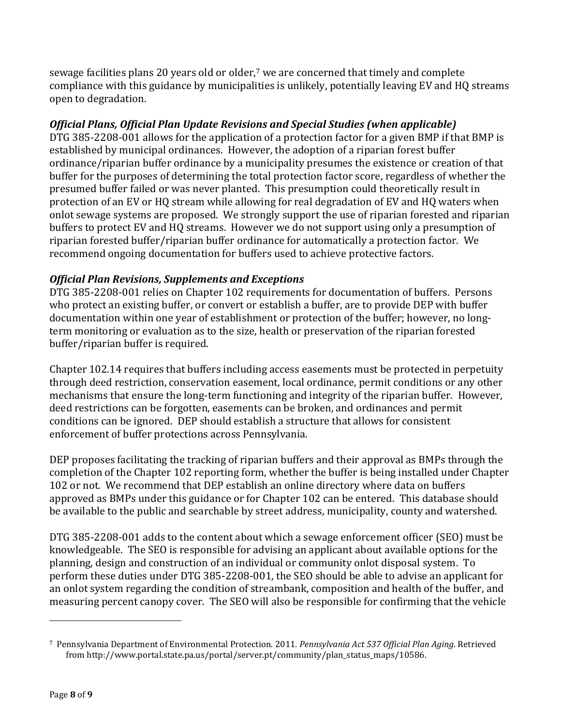sewage facilities plans 20 years old or older,<sup>7</sup> we are concerned that timely and complete compliance with this guidance by municipalities is unlikely, potentially leaving EV and HQ streams open to degradation.

# *Official Plans, Official Plan Update Revisions and Special Studies (when applicable)*

DTG 385-2208-001 allows for the application of a protection factor for a given BMP if that BMP is established by municipal ordinances. However, the adoption of a riparian forest buffer ordinance/riparian buffer ordinance by a municipality presumes the existence or creation of that buffer for the purposes of determining the total protection factor score, regardless of whether the presumed buffer failed or was never planted. This presumption could theoretically result in protection of an EV or HQ stream while allowing for real degradation of EV and HQ waters when onlot sewage systems are proposed. We strongly support the use of riparian forested and riparian buffers to protect EV and HQ streams. However we do not support using only a presumption of riparian forested buffer/riparian buffer ordinance for automatically a protection factor. We recommend ongoing documentation for buffers used to achieve protective factors.

# *Official Plan Revisions, Supplements and Exceptions*

DTG 385-2208-001 relies on Chapter 102 requirements for documentation of buffers. Persons who protect an existing buffer, or convert or establish a buffer, are to provide DEP with buffer documentation within one year of establishment or protection of the buffer; however, no longterm monitoring or evaluation as to the size, health or preservation of the riparian forested buffer/riparian buffer is required.

Chapter 102.14 requires that buffers including access easements must be protected in perpetuity through deed restriction, conservation easement, local ordinance, permit conditions or any other mechanisms that ensure the long-term functioning and integrity of the riparian buffer. However, deed restrictions can be forgotten, easements can be broken, and ordinances and permit conditions can be ignored. DEP should establish a structure that allows for consistent enforcement of buffer protections across Pennsylvania.

DEP proposes facilitating the tracking of riparian buffers and their approval as BMPs through the completion of the Chapter 102 reporting form, whether the buffer is being installed under Chapter 102 or not. We recommend that DEP establish an online directory where data on buffers approved as BMPs under this guidance or for Chapter 102 can be entered. This database should be available to the public and searchable by street address, municipality, county and watershed.

DTG 385-2208-001 adds to the content about which a sewage enforcement officer (SEO) must be knowledgeable. The SEO is responsible for advising an applicant about available options for the planning, design and construction of an individual or community onlot disposal system. To perform these duties under DTG 385-2208-001, the SEO should be able to advise an applicant for an onlot system regarding the condition of streambank, composition and health of the buffer, and measuring percent canopy cover. The SEO will also be responsible for confirming that the vehicle

<sup>7</sup> Pennsylvania Department of Environmental Protection. 2011. *Pennsylvania Act 537 Official Plan Aging*. Retrieved from http://www.portal.state.pa.us/portal/server.pt/community/plan\_status\_maps/10586.